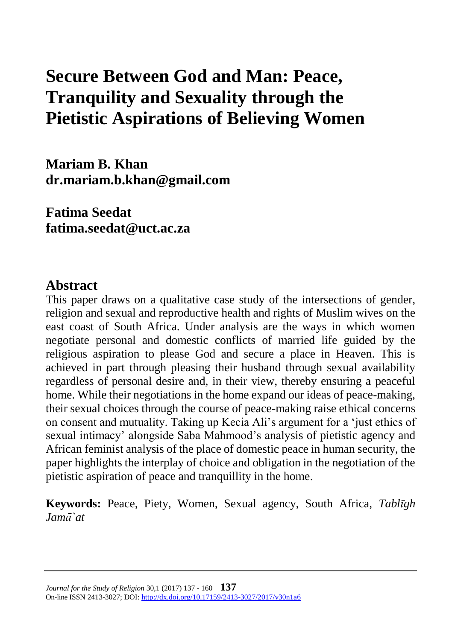# **Secure Between God and Man: Peace, Tranquility and Sexuality through the Pietistic Aspirations of Believing Women**

**Mariam B. Khan dr.mariam.b.khan@gmail.com**

**Fatima Seedat fatima.seedat@uct.ac.za**

#### **Abstract**

This paper draws on a qualitative case study of the intersections of gender, religion and sexual and reproductive health and rights of Muslim wives on the east coast of South Africa. Under analysis are the ways in which women negotiate personal and domestic conflicts of married life guided by the religious aspiration to please God and secure a place in Heaven. This is achieved in part through pleasing their husband through sexual availability regardless of personal desire and, in their view, thereby ensuring a peaceful home. While their negotiations in the home expand our ideas of peace-making, their sexual choices through the course of peace-making raise ethical concerns on consent and mutuality. Taking up Kecia Ali's argument for a 'just ethics of sexual intimacy' alongside Saba Mahmood's analysis of pietistic agency and African feminist analysis of the place of domestic peace in human security, the paper highlights the interplay of choice and obligation in the negotiation of the pietistic aspiration of peace and tranquillity in the home.

**Keywords:** Peace, Piety, Women, Sexual agency, South Africa, *Tablīgh Jamā`at*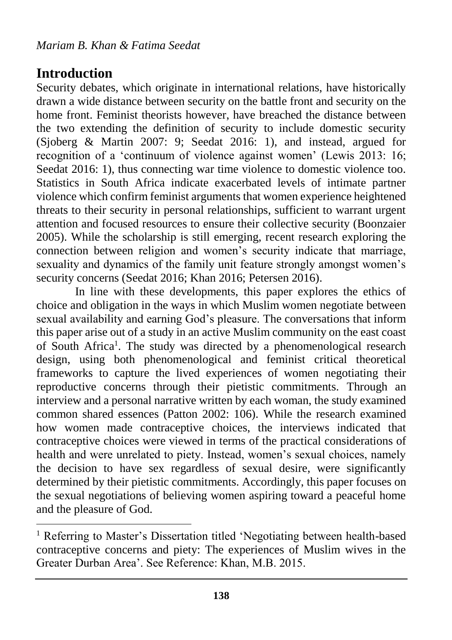## **Introduction**

 $\overline{a}$ 

Security debates, which originate in international relations, have historically drawn a wide distance between security on the battle front and security on the home front. Feminist theorists however, have breached the distance between the two extending the definition of security to include domestic security (Sjoberg & Martin 2007: 9; Seedat 2016: 1), and instead, argued for recognition of a 'continuum of violence against women' (Lewis 2013: 16; Seedat 2016: 1), thus connecting war time violence to domestic violence too. Statistics in South Africa indicate exacerbated levels of intimate partner violence which confirm feminist arguments that women experience heightened threats to their security in personal relationships, sufficient to warrant urgent attention and focused resources to ensure their collective security (Boonzaier 2005). While the scholarship is still emerging, recent research exploring the connection between religion and women's security indicate that marriage, sexuality and dynamics of the family unit feature strongly amongst women's security concerns (Seedat 2016; Khan 2016; Petersen 2016).

In line with these developments, this paper explores the ethics of choice and obligation in the ways in which Muslim women negotiate between sexual availability and earning God's pleasure. The conversations that inform this paper arise out of a study in an active Muslim community on the east coast of South Africa<sup>1</sup>. The study was directed by a phenomenological research design, using both phenomenological and feminist critical theoretical frameworks to capture the lived experiences of women negotiating their reproductive concerns through their pietistic commitments. Through an interview and a personal narrative written by each woman, the study examined common shared essences (Patton 2002: 106). While the research examined how women made contraceptive choices, the interviews indicated that contraceptive choices were viewed in terms of the practical considerations of health and were unrelated to piety. Instead, women's sexual choices, namely the decision to have sex regardless of sexual desire, were significantly determined by their pietistic commitments. Accordingly, this paper focuses on the sexual negotiations of believing women aspiring toward a peaceful home and the pleasure of God.

<sup>&</sup>lt;sup>1</sup> Referring to Master's Dissertation titled 'Negotiating between health-based contraceptive concerns and piety: The experiences of Muslim wives in the Greater Durban Area'. See Reference: Khan, M.B. 2015.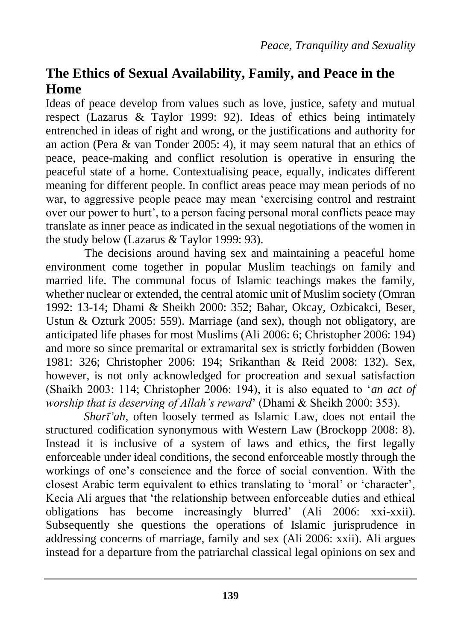# **The Ethics of Sexual Availability, Family, and Peace in the Home**

Ideas of peace develop from values such as love, justice, safety and mutual respect (Lazarus & Taylor 1999: 92). Ideas of ethics being intimately entrenched in ideas of right and wrong, or the justifications and authority for an action (Pera & van Tonder 2005: 4), it may seem natural that an ethics of peace, peace-making and conflict resolution is operative in ensuring the peaceful state of a home. Contextualising peace, equally, indicates different meaning for different people. In conflict areas peace may mean periods of no war, to aggressive people peace may mean 'exercising control and restraint over our power to hurt', to a person facing personal moral conflicts peace may translate as inner peace as indicated in the sexual negotiations of the women in the study below (Lazarus & Taylor 1999: 93).

The decisions around having sex and maintaining a peaceful home environment come together in popular Muslim teachings on family and married life. The communal focus of Islamic teachings makes the family, whether nuclear or extended, the central atomic unit of Muslim society (Omran 1992: 13-14; Dhami & Sheikh 2000: 352; Bahar, Okcay, Ozbicakci, Beser, Ustun & Ozturk 2005: 559). Marriage (and sex), though not obligatory, are anticipated life phases for most Muslims (Ali 2006: 6; Christopher 2006: 194) and more so since premarital or extramarital sex is strictly forbidden (Bowen 1981: 326; Christopher 2006: 194; Srikanthan & Reid 2008: 132). Sex, however, is not only acknowledged for procreation and sexual satisfaction (Shaikh 2003: 114; Christopher 2006: 194), it is also equated to '*an act of worship that is deserving of Allah's reward*' (Dhami & Sheikh 2000: 353).

*Sharī'ah*, often loosely termed as Islamic Law, does not entail the structured codification synonymous with Western Law (Brockopp 2008: 8). Instead it is inclusive of a system of laws and ethics, the first legally enforceable under ideal conditions, the second enforceable mostly through the workings of one's conscience and the force of social convention. With the closest Arabic term equivalent to ethics translating to 'moral' or 'character', Kecia Ali argues that 'the relationship between enforceable duties and ethical obligations has become increasingly blurred' (Ali 2006: xxi-xxii). Subsequently she questions the operations of Islamic jurisprudence in addressing concerns of marriage, family and sex (Ali 2006: xxii). Ali argues instead for a departure from the patriarchal classical legal opinions on sex and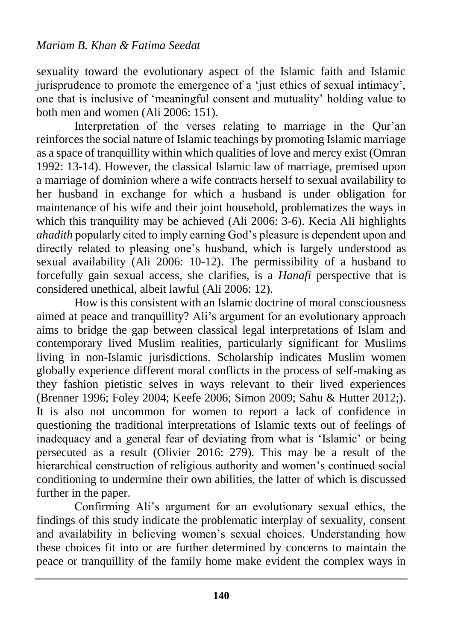sexuality toward the evolutionary aspect of the Islamic faith and Islamic jurisprudence to promote the emergence of a 'just ethics of sexual intimacy', one that is inclusive of 'meaningful consent and mutuality' holding value to both men and women (Ali 2006: 151).

Interpretation of the verses relating to marriage in the Qur'an reinforces the social nature of Islamic teachings by promoting Islamic marriage as a space of tranquillity within which qualities of love and mercy exist (Omran 1992: 13-14). However, the classical Islamic law of marriage, premised upon a marriage of dominion where a wife contracts herself to sexual availability to her husband in exchange for which a husband is under obligation for maintenance of his wife and their joint household, problematizes the ways in which this tranquility may be achieved (Ali 2006: 3-6). Kecia Ali highlights *ahadith* popularly cited to imply earning God's pleasure is dependent upon and directly related to pleasing one's husband, which is largely understood as sexual availability (Ali 2006: 10-12). The permissibility of a husband to forcefully gain sexual access, she clarifies, is a *Hanafi* perspective that is considered unethical, albeit lawful (Ali 2006: 12).

How is this consistent with an Islamic doctrine of moral consciousness aimed at peace and tranquillity? Ali's argument for an evolutionary approach aims to bridge the gap between classical legal interpretations of Islam and contemporary lived Muslim realities, particularly significant for Muslims living in non-Islamic jurisdictions. Scholarship indicates Muslim women globally experience different moral conflicts in the process of self-making as they fashion pietistic selves in ways relevant to their lived experiences (Brenner 1996; Foley 2004; Keefe 2006; Simon 2009; Sahu & Hutter 2012;). It is also not uncommon for women to report a lack of confidence in questioning the traditional interpretations of Islamic texts out of feelings of inadequacy and a general fear of deviating from what is 'Islamic' or being persecuted as a result (Olivier 2016: 279). This may be a result of the hierarchical construction of religious authority and women's continued social conditioning to undermine their own abilities, the latter of which is discussed further in the paper.

Confirming Ali's argument for an evolutionary sexual ethics, the findings of this study indicate the problematic interplay of sexuality, consent and availability in believing women's sexual choices. Understanding how these choices fit into or are further determined by concerns to maintain the peace or tranquillity of the family home make evident the complex ways in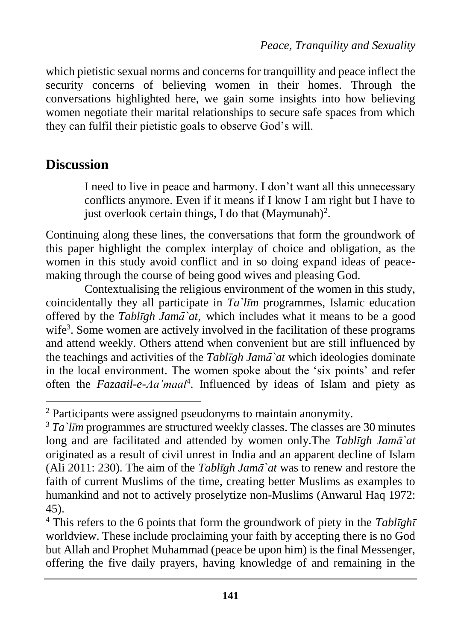which pietistic sexual norms and concerns for tranquillity and peace inflect the security concerns of believing women in their homes. Through the conversations highlighted here, we gain some insights into how believing women negotiate their marital relationships to secure safe spaces from which they can fulfil their pietistic goals to observe God's will.

# **Discussion**

 $\overline{a}$ 

I need to live in peace and harmony. I don't want all this unnecessary conflicts anymore. Even if it means if I know I am right but I have to just overlook certain things, I do that  $(Maymunah)^2$ .

Continuing along these lines, the conversations that form the groundwork of this paper highlight the complex interplay of choice and obligation, as the women in this study avoid conflict and in so doing expand ideas of peacemaking through the course of being good wives and pleasing God.

Contextualising the religious environment of the women in this study, coincidentally they all participate in *Ta`līm* programmes*,* Islamic education offered by the *Tablīgh Jamā`at*, which includes what it means to be a good wife<sup>3</sup>. Some women are actively involved in the facilitation of these programs and attend weekly. Others attend when convenient but are still influenced by the teachings and activities of the *Tablīgh Jamā`at* which ideologies dominate in the local environment. The women spoke about the 'six points' and refer often the *Fazaail-e-Aa'maal*<sup>4</sup> . Influenced by ideas of Islam and piety as

<sup>2</sup> Participants were assigned pseudonyms to maintain anonymity.

<sup>&</sup>lt;sup>3</sup> *Ta*'*l* $\overline{I}$ *n*<sup>2</sup> *Im* programmes are structured weekly classes. The classes are 30 minutes long and are facilitated and attended by women only.The *Tablīgh Jamā`at* originated as a result of civil unrest in India and an apparent decline of Islam (Ali 2011: 230). The aim of the *Tablīgh Jamā`at* was to renew and restore the faith of current Muslims of the time, creating better Muslims as examples to humankind and not to actively proselytize non-Muslims (Anwarul Haq 1972: 45).

<sup>4</sup> This refers to the 6 points that form the groundwork of piety in the *Tablīghī* worldview. These include proclaiming your faith by accepting there is no God but Allah and Prophet Muhammad (peace be upon him) is the final Messenger, offering the five daily prayers, having knowledge of and remaining in the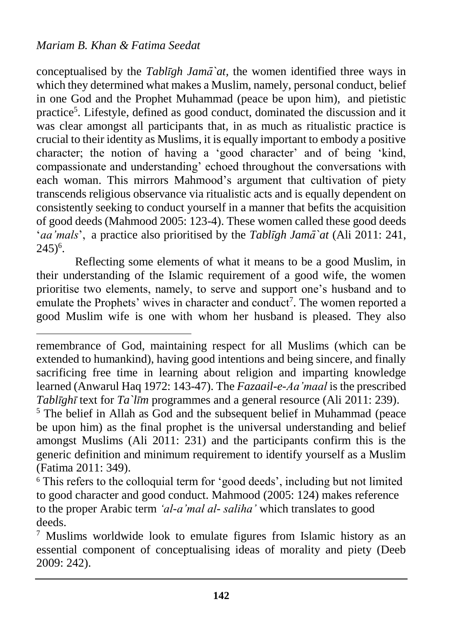$\overline{a}$ 

conceptualised by the *Tablīgh Jamā`at,* the women identified three ways in which they determined what makes a Muslim, namely, personal conduct, belief in one God and the Prophet Muhammad (peace be upon him), and pietistic practice<sup>5</sup>. Lifestyle, defined as good conduct, dominated the discussion and it was clear amongst all participants that, in as much as ritualistic practice is crucial to their identity as Muslims, it is equally important to embody a positive character; the notion of having a 'good character' and of being 'kind, compassionate and understanding' echoed throughout the conversations with each woman. This mirrors Mahmood's argument that cultivation of piety transcends religious observance via ritualistic acts and is equally dependent on consistently seeking to conduct yourself in a manner that befits the acquisition of good deeds (Mahmood 2005: 123-4). These women called these good deeds '*aa'mals*', a practice also prioritised by the *Tablīgh Jamā`at* (Ali 2011: 241,  $245)^6$ .

Reflecting some elements of what it means to be a good Muslim, in their understanding of the Islamic requirement of a good wife, the women prioritise two elements, namely, to serve and support one's husband and to emulate the Prophets' wives in character and conduct<sup>7</sup>. The women reported a good Muslim wife is one with whom her husband is pleased. They also

remembrance of God, maintaining respect for all Muslims (which can be extended to humankind), having good intentions and being sincere, and finally sacrificing free time in learning about religion and imparting knowledge learned (Anwarul Haq 1972: 143-47). The *Fazaail-e-Aa'maal* is the prescribed *Tablīghī* text for *Ta līm* programmes and a general resource (Ali 2011: 239).

<sup>5</sup> The belief in Allah as God and the subsequent belief in Muhammad (peace be upon him) as the final prophet is the universal understanding and belief amongst Muslims (Ali 2011: 231) and the participants confirm this is the generic definition and minimum requirement to identify yourself as a Muslim (Fatima 2011: 349).

<sup>&</sup>lt;sup>6</sup> This refers to the colloquial term for 'good deeds', including but not limited to good character and good conduct. Mahmood (2005: 124) makes reference to the proper Arabic term *'al-a'mal al- saliha'* which translates to good deeds.

<sup>7</sup> Muslims worldwide look to emulate figures from Islamic history as an essential component of conceptualising ideas of morality and piety (Deeb 2009: 242).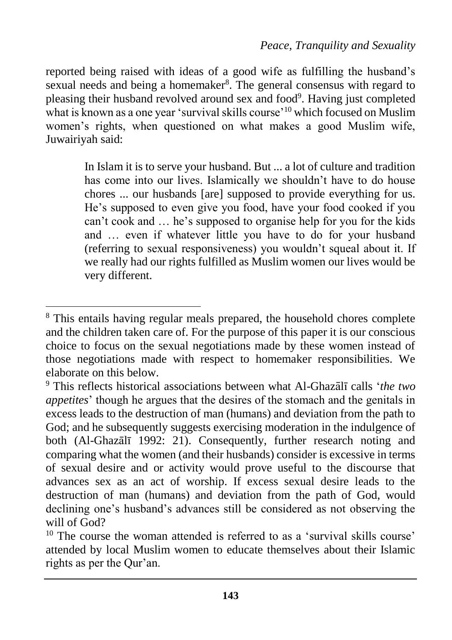reported being raised with ideas of a good wife as fulfilling the husband's sexual needs and being a homemaker<sup>8</sup>. The general consensus with regard to pleasing their husband revolved around sex and food<sup>9</sup>. Having just completed what is known as a one year 'survival skills course'<sup>10</sup> which focused on Muslim women's rights, when questioned on what makes a good Muslim wife, Juwairiyah said:

> In Islam it is to serve your husband. But ... a lot of culture and tradition has come into our lives. Islamically we shouldn't have to do house chores ... our husbands [are] supposed to provide everything for us. He's supposed to even give you food, have your food cooked if you can't cook and … he's supposed to organise help for you for the kids and … even if whatever little you have to do for your husband (referring to sexual responsiveness) you wouldn't squeal about it. If we really had our rights fulfilled as Muslim women our lives would be very different.

 $\overline{a}$ <sup>8</sup> This entails having regular meals prepared, the household chores complete and the children taken care of. For the purpose of this paper it is our conscious choice to focus on the sexual negotiations made by these women instead of those negotiations made with respect to homemaker responsibilities. We elaborate on this below.

<sup>9</sup> This reflects historical associations between what Al-Ghazālī calls '*the two appetites*' though he argues that the desires of the stomach and the genitals in excess leads to the destruction of man (humans) and deviation from the path to God; and he subsequently suggests exercising moderation in the indulgence of both (Al-Ghazālī 1992: 21). Consequently, further research noting and comparing what the women (and their husbands) consider is excessive in terms of sexual desire and or activity would prove useful to the discourse that advances sex as an act of worship. If excess sexual desire leads to the destruction of man (humans) and deviation from the path of God, would declining one's husband's advances still be considered as not observing the will of God?

<sup>&</sup>lt;sup>10</sup> The course the woman attended is referred to as a 'survival skills course' attended by local Muslim women to educate themselves about their Islamic rights as per the Qur'an.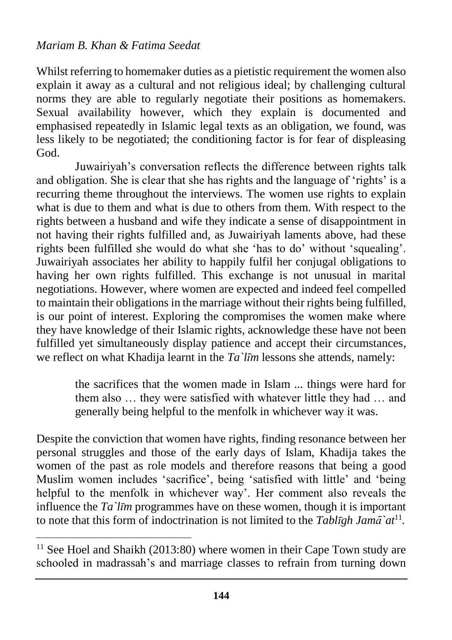$\overline{a}$ 

Whilst referring to homemaker duties as a pietistic requirement the women also explain it away as a cultural and not religious ideal; by challenging cultural norms they are able to regularly negotiate their positions as homemakers. Sexual availability however, which they explain is documented and emphasised repeatedly in Islamic legal texts as an obligation, we found, was less likely to be negotiated; the conditioning factor is for fear of displeasing God.

Juwairiyah's conversation reflects the difference between rights talk and obligation. She is clear that she has rights and the language of 'rights' is a recurring theme throughout the interviews. The women use rights to explain what is due to them and what is due to others from them. With respect to the rights between a husband and wife they indicate a sense of disappointment in not having their rights fulfilled and, as Juwairiyah laments above, had these rights been fulfilled she would do what she 'has to do' without 'squealing'. Juwairiyah associates her ability to happily fulfil her conjugal obligations to having her own rights fulfilled. This exchange is not unusual in marital negotiations. However, where women are expected and indeed feel compelled to maintain their obligations in the marriage without their rights being fulfilled, is our point of interest. Exploring the compromises the women make where they have knowledge of their Islamic rights, acknowledge these have not been fulfilled yet simultaneously display patience and accept their circumstances, we reflect on what Khadija learnt in the *Ta`līm* lessons she attends, namely:

> the sacrifices that the women made in Islam ... things were hard for them also … they were satisfied with whatever little they had … and generally being helpful to the menfolk in whichever way it was.

Despite the conviction that women have rights, finding resonance between her personal struggles and those of the early days of Islam, Khadija takes the women of the past as role models and therefore reasons that being a good Muslim women includes 'sacrifice', being 'satisfied with little' and 'being helpful to the menfolk in whichever way'. Her comment also reveals the influence the *Ta`līm* programmes have on these women, though it is important to note that this form of indoctrination is not limited to the *Tablīgh Jamā`at*<sup>11</sup> *.*

<sup>&</sup>lt;sup>11</sup> See Hoel and Shaikh (2013:80) where women in their Cape Town study are schooled in madrassah's and marriage classes to refrain from turning down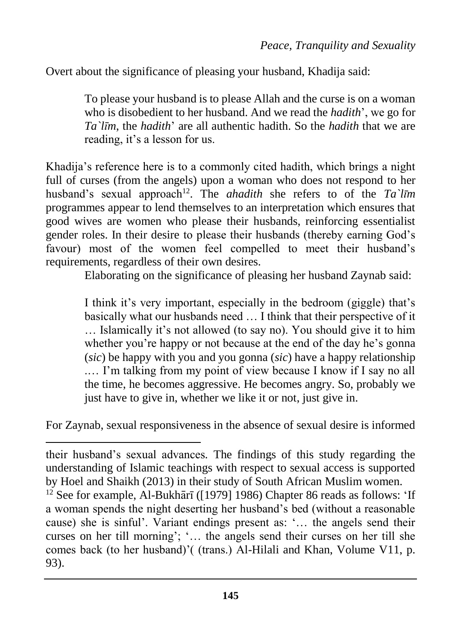Overt about the significance of pleasing your husband, Khadija said:

To please your husband is to please Allah and the curse is on a woman who is disobedient to her husband. And we read the *hadith*', we go for *Ta`līm*, the *hadith*' are all authentic hadith. So the *hadith* that we are reading, it's a lesson for us.

Khadija's reference here is to a commonly cited hadith, which brings a night full of curses (from the angels) upon a woman who does not respond to her husband's sexual approach<sup>12</sup>. The *ahadith* she refers to of the *Ta*'*līm* programmes appear to lend themselves to an interpretation which ensures that good wives are women who please their husbands, reinforcing essentialist gender roles. In their desire to please their husbands (thereby earning God's favour) most of the women feel compelled to meet their husband's requirements, regardless of their own desires.

Elaborating on the significance of pleasing her husband Zaynab said:

I think it's very important, especially in the bedroom (giggle) that's basically what our husbands need … I think that their perspective of it … Islamically it's not allowed (to say no). You should give it to him whether you're happy or not because at the end of the day he's gonna (*sic*) be happy with you and you gonna (*sic*) have a happy relationship .… I'm talking from my point of view because I know if I say no all the time, he becomes aggressive. He becomes angry. So, probably we just have to give in, whether we like it or not, just give in.

For Zaynab, sexual responsiveness in the absence of sexual desire is informed

 $\overline{a}$ 

their husband's sexual advances*.* The findings of this study regarding the understanding of Islamic teachings with respect to sexual access is supported by Hoel and Shaikh (2013) in their study of South African Muslim women.

 $12$  See for example, Al-Bukhārī ([1979] 1986) Chapter 86 reads as follows: 'If a woman spends the night deserting her husband's bed (without a reasonable cause) she is sinful'. Variant endings present as: '… the angels send their curses on her till morning'; '… the angels send their curses on her till she comes back (to her husband)'( (trans.) Al-Hilali and Khan, Volume V11, p. 93).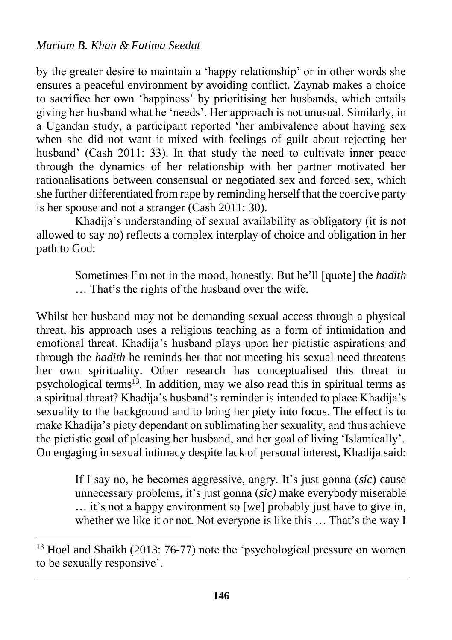$\overline{a}$ 

by the greater desire to maintain a 'happy relationship' or in other words she ensures a peaceful environment by avoiding conflict. Zaynab makes a choice to sacrifice her own 'happiness' by prioritising her husbands, which entails giving her husband what he 'needs'. Her approach is not unusual. Similarly, in a Ugandan study, a participant reported 'her ambivalence about having sex when she did not want it mixed with feelings of guilt about rejecting her husband' (Cash 2011: 33). In that study the need to cultivate inner peace through the dynamics of her relationship with her partner motivated her rationalisations between consensual or negotiated sex and forced sex, which she further differentiated from rape by reminding herself that the coercive party is her spouse and not a stranger (Cash 2011: 30).

Khadija's understanding of sexual availability as obligatory (it is not allowed to say no) reflects a complex interplay of choice and obligation in her path to God:

> Sometimes I'm not in the mood, honestly. But he'll [quote] the *hadith* … That's the rights of the husband over the wife.

Whilst her husband may not be demanding sexual access through a physical threat, his approach uses a religious teaching as a form of intimidation and emotional threat. Khadija's husband plays upon her pietistic aspirations and through the *hadith* he reminds her that not meeting his sexual need threatens her own spirituality. Other research has conceptualised this threat in psychological terms<sup>13</sup>. In addition, may we also read this in spiritual terms as a spiritual threat? Khadija's husband's reminder is intended to place Khadija's sexuality to the background and to bring her piety into focus. The effect is to make Khadija's piety dependant on sublimating her sexuality, and thus achieve the pietistic goal of pleasing her husband, and her goal of living 'Islamically'. On engaging in sexual intimacy despite lack of personal interest, Khadija said:

> If I say no, he becomes aggressive, angry. It's just gonna (*sic*) cause unnecessary problems, it's just gonna (*sic)* make everybody miserable … it's not a happy environment so [we] probably just have to give in, whether we like it or not. Not everyone is like this … That's the way I

<sup>&</sup>lt;sup>13</sup> Hoel and Shaikh (2013: 76-77) note the 'psychological pressure on women to be sexually responsive'.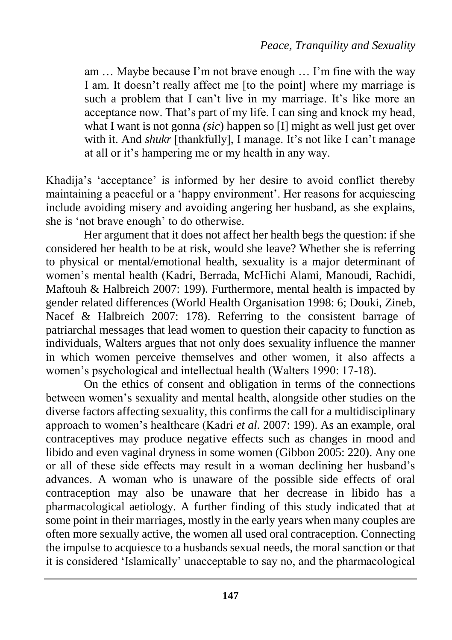am … Maybe because I'm not brave enough … I'm fine with the way I am. It doesn't really affect me [to the point] where my marriage is such a problem that I can't live in my marriage. It's like more an acceptance now. That's part of my life. I can sing and knock my head, what I want is not gonna *(sic)* happen so [I] might as well just get over with it. And *shukr* [thankfully], I manage. It's not like I can't manage at all or it's hampering me or my health in any way.

Khadija's 'acceptance' is informed by her desire to avoid conflict thereby maintaining a peaceful or a 'happy environment'. Her reasons for acquiescing include avoiding misery and avoiding angering her husband, as she explains, she is 'not brave enough' to do otherwise.

Her argument that it does not affect her health begs the question: if she considered her health to be at risk, would she leave? Whether she is referring to physical or mental/emotional health, sexuality is a major determinant of women's mental health (Kadri, Berrada, McHichi Alami, Manoudi, Rachidi, Maftouh & Halbreich 2007: 199). Furthermore, mental health is impacted by gender related differences (World Health Organisation 1998: 6; Douki, Zineb, Nacef & Halbreich 2007: 178). Referring to the consistent barrage of patriarchal messages that lead women to question their capacity to function as individuals, Walters argues that not only does sexuality influence the manner in which women perceive themselves and other women, it also affects a women's psychological and intellectual health (Walters 1990: 17-18).

On the ethics of consent and obligation in terms of the connections between women's sexuality and mental health, alongside other studies on the diverse factors affecting sexuality, this confirms the call for a multidisciplinary approach to women's healthcare (Kadri *et al.* 2007: 199). As an example, oral contraceptives may produce negative effects such as changes in mood and libido and even vaginal dryness in some women (Gibbon 2005: 220). Any one or all of these side effects may result in a woman declining her husband's advances. A woman who is unaware of the possible side effects of oral contraception may also be unaware that her decrease in libido has a pharmacological aetiology. A further finding of this study indicated that at some point in their marriages, mostly in the early years when many couples are often more sexually active, the women all used oral contraception. Connecting the impulse to acquiesce to a husbands sexual needs, the moral sanction or that it is considered 'Islamically' unacceptable to say no, and the pharmacological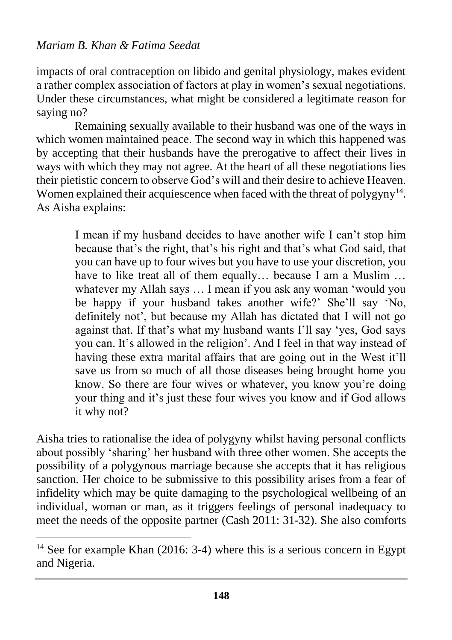$\overline{a}$ 

impacts of oral contraception on libido and genital physiology, makes evident a rather complex association of factors at play in women's sexual negotiations. Under these circumstances, what might be considered a legitimate reason for saying no?

Remaining sexually available to their husband was one of the ways in which women maintained peace. The second way in which this happened was by accepting that their husbands have the prerogative to affect their lives in ways with which they may not agree. At the heart of all these negotiations lies their pietistic concern to observe God's will and their desire to achieve Heaven. Women explained their acquiescence when faced with the threat of polygyny $14$ . As Aisha explains:

> I mean if my husband decides to have another wife I can't stop him because that's the right, that's his right and that's what God said, that you can have up to four wives but you have to use your discretion, you have to like treat all of them equally... because I am a Muslim ... whatever my Allah says … I mean if you ask any woman 'would you be happy if your husband takes another wife?' She'll say 'No, definitely not', but because my Allah has dictated that I will not go against that. If that's what my husband wants I'll say 'yes, God says you can. It's allowed in the religion'. And I feel in that way instead of having these extra marital affairs that are going out in the West it'll save us from so much of all those diseases being brought home you know. So there are four wives or whatever, you know you're doing your thing and it's just these four wives you know and if God allows it why not?

Aisha tries to rationalise the idea of polygyny whilst having personal conflicts about possibly 'sharing' her husband with three other women. She accepts the possibility of a polygynous marriage because she accepts that it has religious sanction. Her choice to be submissive to this possibility arises from a fear of infidelity which may be quite damaging to the psychological wellbeing of an individual, woman or man, as it triggers feelings of personal inadequacy to meet the needs of the opposite partner (Cash 2011: 31-32). She also comforts

<sup>&</sup>lt;sup>14</sup> See for example Khan (2016: 3-4) where this is a serious concern in Egypt and Nigeria.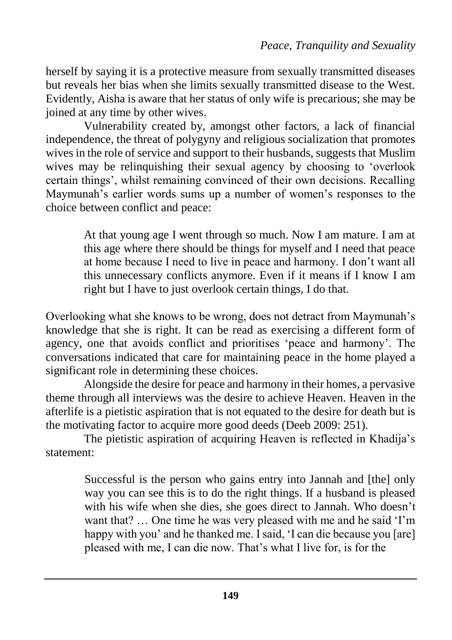herself by saying it is a protective measure from sexually transmitted diseases but reveals her bias when she limits sexually transmitted disease to the West. Evidently, Aisha is aware that her status of only wife is precarious; she may be joined at any time by other wives.

Vulnerability created by, amongst other factors, a lack of financial independence, the threat of polygyny and religious socialization that promotes wives in the role of service and support to their husbands, suggests that Muslim wives may be relinquishing their sexual agency by choosing to 'overlook certain things', whilst remaining convinced of their own decisions. Recalling Maymunah's earlier words sums up a number of women's responses to the choice between conflict and peace:

> At that young age I went through so much. Now I am mature. I am at this age where there should be things for myself and I need that peace at home because I need to live in peace and harmony. I don't want all this unnecessary conflicts anymore. Even if it means if I know I am right but I have to just overlook certain things, I do that.

Overlooking what she knows to be wrong, does not detract from Maymunah's knowledge that she is right. It can be read as exercising a different form of agency, one that avoids conflict and prioritises 'peace and harmony'. The conversations indicated that care for maintaining peace in the home played a significant role in determining these choices.

Alongside the desire for peace and harmony in their homes, a pervasive theme through all interviews was the desire to achieve Heaven. Heaven in the afterlife is a pietistic aspiration that is not equated to the desire for death but is the motivating factor to acquire more good deeds (Deeb 2009: 251).

The pietistic aspiration of acquiring Heaven is reflected in Khadija's statement:

> Successful is the person who gains entry into Jannah and [the] only way you can see this is to do the right things. If a husband is pleased with his wife when she dies, she goes direct to Jannah. Who doesn't want that? … One time he was very pleased with me and he said 'I'm happy with you' and he thanked me. I said, 'I can die because you [are] pleased with me, I can die now. That's what I live for, is for the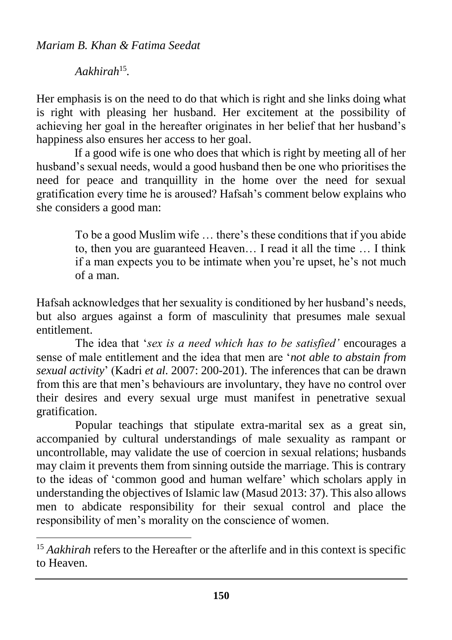*Aakhirah*<sup>15</sup> *.*

 $\overline{a}$ 

Her emphasis is on the need to do that which is right and she links doing what is right with pleasing her husband. Her excitement at the possibility of achieving her goal in the hereafter originates in her belief that her husband's happiness also ensures her access to her goal.

If a good wife is one who does that which is right by meeting all of her husband's sexual needs, would a good husband then be one who prioritises the need for peace and tranquillity in the home over the need for sexual gratification every time he is aroused? Hafsah's comment below explains who she considers a good man:

> To be a good Muslim wife … there's these conditions that if you abide to, then you are guaranteed Heaven… I read it all the time … I think if a man expects you to be intimate when you're upset, he's not much of a man.

Hafsah acknowledges that her sexuality is conditioned by her husband's needs, but also argues against a form of masculinity that presumes male sexual entitlement.

The idea that '*sex is a need which has to be satisfied'* encourages a sense of male entitlement and the idea that men are '*not able to abstain from sexual activity*' (Kadri *et al.* 2007: 200-201). The inferences that can be drawn from this are that men's behaviours are involuntary, they have no control over their desires and every sexual urge must manifest in penetrative sexual gratification.

Popular teachings that stipulate extra-marital sex as a great sin, accompanied by cultural understandings of male sexuality as rampant or uncontrollable, may validate the use of coercion in sexual relations; husbands may claim it prevents them from sinning outside the marriage. This is contrary to the ideas of 'common good and human welfare' which scholars apply in understanding the objectives of Islamic law (Masud 2013: 37). This also allows men to abdicate responsibility for their sexual control and place the responsibility of men's morality on the conscience of women.

<sup>&</sup>lt;sup>15</sup> Aakhirah refers to the Hereafter or the afterlife and in this context is specific to Heaven.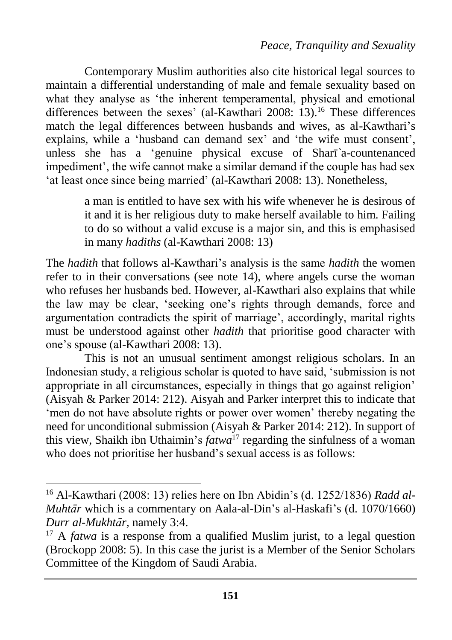Contemporary Muslim authorities also cite historical legal sources to maintain a differential understanding of male and female sexuality based on what they analyse as 'the inherent temperamental, physical and emotional differences between the sexes' (al-Kawthari 2008: 13).<sup>16</sup> These differences match the legal differences between husbands and wives, as al-Kawthari's explains, while a 'husband can demand sex' and 'the wife must consent', unless she has a 'genuine physical excuse of Sharī*`*a-countenanced impediment', the wife cannot make a similar demand if the couple has had sex 'at least once since being married' (al-Kawthari 2008: 13). Nonetheless,

> a man is entitled to have sex with his wife whenever he is desirous of it and it is her religious duty to make herself available to him. Failing to do so without a valid excuse is a major sin, and this is emphasised in many *hadiths* (al-Kawthari 2008: 13)

The *hadith* that follows al-Kawthari's analysis is the same *hadith* the women refer to in their conversations (see note 14), where angels curse the woman who refuses her husbands bed. However, al-Kawthari also explains that while the law may be clear, 'seeking one's rights through demands, force and argumentation contradicts the spirit of marriage', accordingly, marital rights must be understood against other *hadith* that prioritise good character with one's spouse (al-Kawthari 2008: 13).

This is not an unusual sentiment amongst religious scholars. In an Indonesian study, a religious scholar is quoted to have said, 'submission is not appropriate in all circumstances, especially in things that go against religion' (Aisyah & Parker 2014: 212). Aisyah and Parker interpret this to indicate that 'men do not have absolute rights or power over women' thereby negating the need for unconditional submission (Aisyah & Parker 2014: 212). In support of this view, Shaikh ibn Uthaimin's *fatwa*<sup>17</sup> regarding the sinfulness of a woman who does not prioritise her husband's sexual access is as follows:

 $\overline{a}$ 

<sup>16</sup> Al-Kawthari (2008: 13) relies here on Ibn Abidin's (d. 1252/1836) *Radd al-Muhtār* which is a commentary on Aala-al-Din's al-Haskafi's (d. 1070/1660) *Durr al-Mukhtār*, namely 3:4.

<sup>&</sup>lt;sup>17</sup> A *fatwa* is a response from a qualified Muslim jurist, to a legal question (Brockopp 2008: 5). In this case the jurist is a Member of the Senior Scholars Committee of the Kingdom of Saudi Arabia.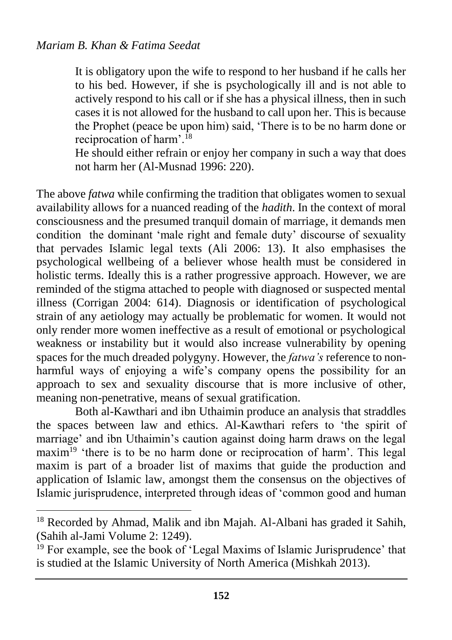$\overline{\phantom{a}}$ 

It is obligatory upon the wife to respond to her husband if he calls her to his bed. However, if she is psychologically ill and is not able to actively respond to his call or if she has a physical illness, then in such cases it is not allowed for the husband to call upon her. This is because the Prophet (peace be upon him) said, 'There is to be no harm done or reciprocation of harm'.<sup>18</sup>

He should either refrain or enjoy her company in such a way that does not harm her (Al-Musnad 1996: 220).

The above *fatwa* while confirming the tradition that obligates women to sexual availability allows for a nuanced reading of the *hadith*. In the context of moral consciousness and the presumed tranquil domain of marriage, it demands men condition the dominant 'male right and female duty' discourse of sexuality that pervades Islamic legal texts (Ali 2006: 13). It also emphasises the psychological wellbeing of a believer whose health must be considered in holistic terms. Ideally this is a rather progressive approach. However, we are reminded of the stigma attached to people with diagnosed or suspected mental illness (Corrigan 2004: 614). Diagnosis or identification of psychological strain of any aetiology may actually be problematic for women. It would not only render more women ineffective as a result of emotional or psychological weakness or instability but it would also increase vulnerability by opening spaces for the much dreaded polygyny. However, the *fatwa's* reference to nonharmful ways of enjoying a wife's company opens the possibility for an approach to sex and sexuality discourse that is more inclusive of other, meaning non-penetrative, means of sexual gratification.

Both al-Kawthari and ibn Uthaimin produce an analysis that straddles the spaces between law and ethics. Al-Kawthari refers to 'the spirit of marriage' and ibn Uthaimin's caution against doing harm draws on the legal maxim<sup>19</sup> 'there is to be no harm done or reciprocation of harm'. This legal maxim is part of a broader list of maxims that guide the production and application of Islamic law, amongst them the consensus on the objectives of Islamic jurisprudence, interpreted through ideas of 'common good and human

<sup>&</sup>lt;sup>18</sup> Recorded by Ahmad, Malik and ibn Majah. Al-Albani has graded it Sahih, (Sahih al-Jami Volume 2: 1249).

<sup>&</sup>lt;sup>19</sup> For example, see the book of 'Legal Maxims of Islamic Jurisprudence' that is studied at the Islamic University of North America (Mishkah 2013).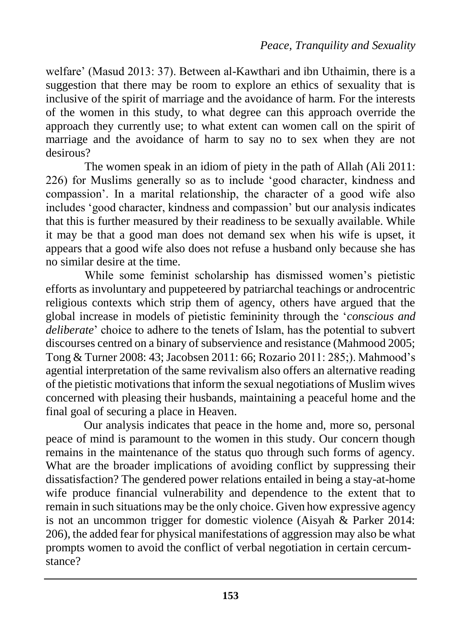welfare' (Masud 2013: 37). Between al-Kawthari and ibn Uthaimin, there is a suggestion that there may be room to explore an ethics of sexuality that is inclusive of the spirit of marriage and the avoidance of harm. For the interests of the women in this study, to what degree can this approach override the approach they currently use; to what extent can women call on the spirit of marriage and the avoidance of harm to say no to sex when they are not desirous?

The women speak in an idiom of piety in the path of Allah (Ali 2011: 226) for Muslims generally so as to include 'good character, kindness and compassion'. In a marital relationship, the character of a good wife also includes 'good character, kindness and compassion' but our analysis indicates that this is further measured by their readiness to be sexually available. While it may be that a good man does not demand sex when his wife is upset, it appears that a good wife also does not refuse a husband only because she has no similar desire at the time.

While some feminist scholarship has dismissed women's pietistic efforts as involuntary and puppeteered by patriarchal teachings or androcentric religious contexts which strip them of agency, others have argued that the global increase in models of pietistic femininity through the '*conscious and deliberate*' choice to adhere to the tenets of Islam, has the potential to subvert discourses centred on a binary of subservience and resistance (Mahmood 2005; Tong & Turner 2008: 43; Jacobsen 2011: 66; Rozario 2011: 285;). Mahmood's agential interpretation of the same revivalism also offers an alternative reading of the pietistic motivations that inform the sexual negotiations of Muslim wives concerned with pleasing their husbands, maintaining a peaceful home and the final goal of securing a place in Heaven.

Our analysis indicates that peace in the home and, more so, personal peace of mind is paramount to the women in this study. Our concern though remains in the maintenance of the status quo through such forms of agency. What are the broader implications of avoiding conflict by suppressing their dissatisfaction? The gendered power relations entailed in being a stay-at-home wife produce financial vulnerability and dependence to the extent that to remain in such situations may be the only choice. Given how expressive agency is not an uncommon trigger for domestic violence (Aisyah & Parker 2014: 206), the added fear for physical manifestations of aggression may also be what prompts women to avoid the conflict of verbal negotiation in certain cercumstance?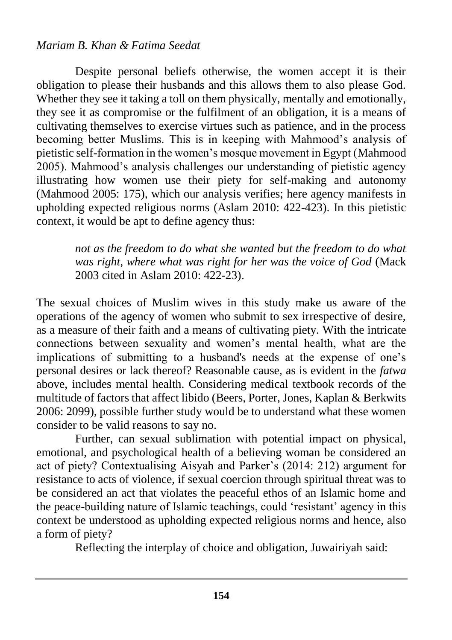Despite personal beliefs otherwise, the women accept it is their obligation to please their husbands and this allows them to also please God. Whether they see it taking a toll on them physically, mentally and emotionally, they see it as compromise or the fulfilment of an obligation, it is a means of cultivating themselves to exercise virtues such as patience, and in the process becoming better Muslims. This is in keeping with Mahmood's analysis of pietistic self-formation in the women's mosque movement in Egypt (Mahmood 2005). Mahmood's analysis challenges our understanding of pietistic agency illustrating how women use their piety for self-making and autonomy (Mahmood 2005: 175), which our analysis verifies; here agency manifests in upholding expected religious norms (Aslam 2010: 422-423). In this pietistic context, it would be apt to define agency thus:

> *not as the freedom to do what she wanted but the freedom to do what was right, where what was right for her was the voice of God* (Mack 2003 cited in Aslam 2010: 422-23).

The sexual choices of Muslim wives in this study make us aware of the operations of the agency of women who submit to sex irrespective of desire, as a measure of their faith and a means of cultivating piety. With the intricate connections between sexuality and women's mental health, what are the implications of submitting to a husband's needs at the expense of one's personal desires or lack thereof? Reasonable cause, as is evident in the *fatwa*  above, includes mental health. Considering medical textbook records of the multitude of factors that affect libido (Beers, Porter, Jones, Kaplan & Berkwits 2006: 2099), possible further study would be to understand what these women consider to be valid reasons to say no.

Further, can sexual sublimation with potential impact on physical, emotional, and psychological health of a believing woman be considered an act of piety? Contextualising Aisyah and Parker's (2014: 212) argument for resistance to acts of violence, if sexual coercion through spiritual threat was to be considered an act that violates the peaceful ethos of an Islamic home and the peace-building nature of Islamic teachings, could 'resistant' agency in this context be understood as upholding expected religious norms and hence, also a form of piety?

Reflecting the interplay of choice and obligation, Juwairiyah said: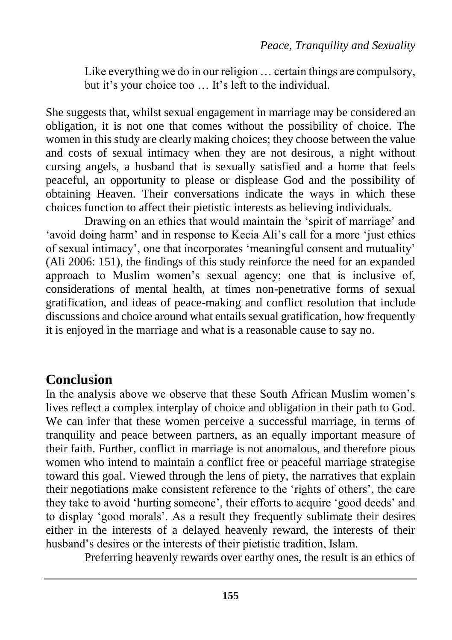Like everything we do in our religion ... certain things are compulsory, but it's your choice too … It's left to the individual.

She suggests that, whilst sexual engagement in marriage may be considered an obligation, it is not one that comes without the possibility of choice. The women in this study are clearly making choices; they choose between the value and costs of sexual intimacy when they are not desirous, a night without cursing angels, a husband that is sexually satisfied and a home that feels peaceful, an opportunity to please or displease God and the possibility of obtaining Heaven. Their conversations indicate the ways in which these choices function to affect their pietistic interests as believing individuals.

Drawing on an ethics that would maintain the 'spirit of marriage' and 'avoid doing harm' and in response to Kecia Ali's call for a more 'just ethics of sexual intimacy', one that incorporates 'meaningful consent and mutuality' (Ali 2006: 151), the findings of this study reinforce the need for an expanded approach to Muslim women's sexual agency; one that is inclusive of, considerations of mental health, at times non-penetrative forms of sexual gratification, and ideas of peace-making and conflict resolution that include discussions and choice around what entails sexual gratification, how frequently it is enjoyed in the marriage and what is a reasonable cause to say no.

## **Conclusion**

In the analysis above we observe that these South African Muslim women's lives reflect a complex interplay of choice and obligation in their path to God. We can infer that these women perceive a successful marriage, in terms of tranquility and peace between partners, as an equally important measure of their faith. Further, conflict in marriage is not anomalous, and therefore pious women who intend to maintain a conflict free or peaceful marriage strategise toward this goal. Viewed through the lens of piety, the narratives that explain their negotiations make consistent reference to the 'rights of others', the care they take to avoid 'hurting someone', their efforts to acquire 'good deeds' and to display 'good morals'. As a result they frequently sublimate their desires either in the interests of a delayed heavenly reward, the interests of their husband's desires or the interests of their pietistic tradition, Islam.

Preferring heavenly rewards over earthy ones, the result is an ethics of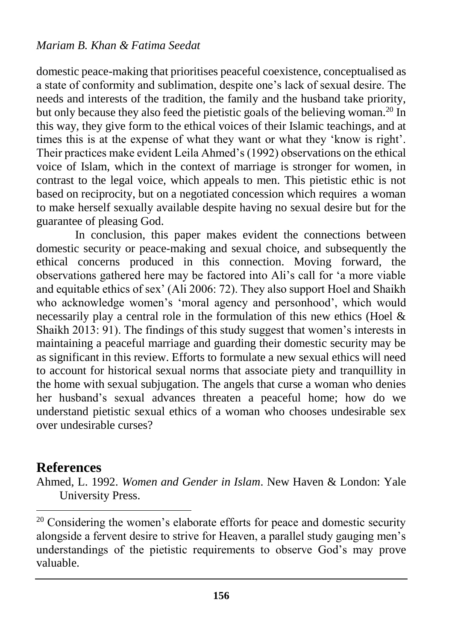domestic peace-making that prioritises peaceful coexistence, conceptualised as a state of conformity and sublimation, despite one's lack of sexual desire. The needs and interests of the tradition, the family and the husband take priority, but only because they also feed the pietistic goals of the believing woman.<sup>20</sup> In this way, they give form to the ethical voices of their Islamic teachings, and at times this is at the expense of what they want or what they 'know is right'. Their practices make evident Leila Ahmed's (1992) observations on the ethical voice of Islam, which in the context of marriage is stronger for women, in contrast to the legal voice, which appeals to men. This pietistic ethic is not based on reciprocity, but on a negotiated concession which requires a woman to make herself sexually available despite having no sexual desire but for the guarantee of pleasing God.

In conclusion, this paper makes evident the connections between domestic security or peace-making and sexual choice, and subsequently the ethical concerns produced in this connection. Moving forward, the observations gathered here may be factored into Ali's call for 'a more viable and equitable ethics of sex' (Ali 2006: 72). They also support Hoel and Shaikh who acknowledge women's 'moral agency and personhood', which would necessarily play a central role in the formulation of this new ethics (Hoel & Shaikh 2013: 91). The findings of this study suggest that women's interests in maintaining a peaceful marriage and guarding their domestic security may be as significant in this review. Efforts to formulate a new sexual ethics will need to account for historical sexual norms that associate piety and tranquillity in the home with sexual subjugation. The angels that curse a woman who denies her husband's sexual advances threaten a peaceful home; how do we understand pietistic sexual ethics of a woman who chooses undesirable sex over undesirable curses?

## **References**

 $\overline{\phantom{a}}$ 

Ahmed, L. 1992. *Women and Gender in Islam*. New Haven & London: Yale University Press.

 $20$  Considering the women's elaborate efforts for peace and domestic security alongside a fervent desire to strive for Heaven, a parallel study gauging men's understandings of the pietistic requirements to observe God's may prove valuable.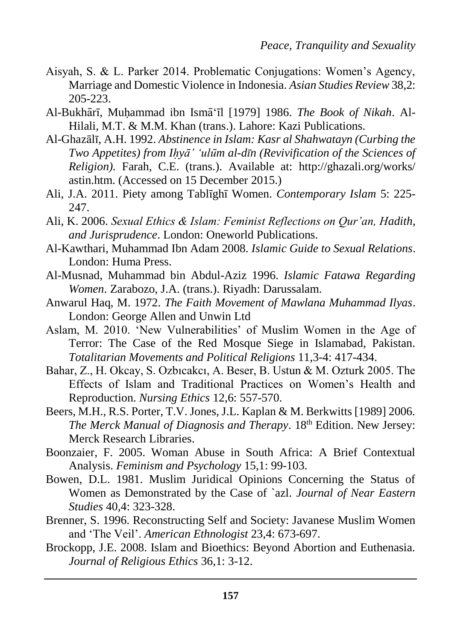- Aisyah, S. & L. Parker 2014. Problematic Conjugations: Women's Agency, Marriage and Domestic Violence in Indonesia. *Asian Studies Review* 38,2: 205-223.
- Al-Bukhārī, Muhammad ibn Ismā'īl [1979] 1986. *The Book of Nikah*. Al-Hilali, M.T. & M.M. Khan (trans.). Lahore: Kazi Publications.
- Al-Ghazālī, A.H. 1992. *Abstinence in Islam: Kasr al Shahwatayn (Curbing the Two Appetites) from Ihỵ ā' ʻulūm al-dīn (Revivification of the Sciences of Religion).* Farah, C.E. (trans.). Available at: <http://ghazali.org/works/> astin.htm. (Accessed on 15 December 2015.)
- Ali, J.A. 2011. Piety among Tablīghī Women. *Contemporary Islam* 5: 225- 247.
- Ali, K. 2006. *Sexual Ethics & Islam: Feminist Reflections on Qur'an, Hadith, and Jurisprudence*. London: Oneworld Publications.
- Al-Kawthari, Muhammad Ibn Adam 2008. *Islamic Guide to Sexual Relations*. London: Huma Press.
- Al-Musnad, Muhammad bin Abdul-Aziz 1996. *Islamic Fatawa Regarding Women*. Zarabozo, J.A. (trans.). Riyadh: Darussalam.
- Anwarul Haq, M. 1972. *The Faith Movement of Mawlana Muhammad Ilyas*. London: George Allen and Unwin Ltd
- Aslam, M. 2010. 'New Vulnerabilities' of Muslim Women in the Age of Terror: The Case of the Red Mosque Siege in Islamabad, Pakistan. *Totalitarian Movements and Political Religions* 11,3-4: 417-434.
- Bahar, Z., H. Okcay, S. Ozbicakci, A. Beser, B. Ustun & M. Ozturk 2005. The Effects of Islam and Traditional Practices on Women's Health and Reproduction. *Nursing Ethics* 12,6: 557-570.
- Beers, M.H., R.S. Porter, T.V. Jones, J.L. Kaplan & M. Berkwitts [1989] 2006. *The Merck Manual of Diagnosis and Therapy*. 18th Edition. New Jersey: Merck Research Libraries.
- Boonzaier, F. 2005. Woman Abuse in South Africa: A Brief Contextual Analysis. *Feminism and Psychology* 15,1: 99-103.
- Bowen, D.L. 1981. Muslim Juridical Opinions Concerning the Status of Women as Demonstrated by the Case of `azl. *Journal of Near Eastern Studies* 40,4: 323-328.
- Brenner, S. 1996. Reconstructing Self and Society: Javanese Muslim Women and 'The Veil'. *American Ethnologist* 23,4: 673-697.
- Brockopp, J.E. 2008. Islam and Bioethics: Beyond Abortion and Euthenasia. *Journal of Religious Ethics* 36,1: 3-12.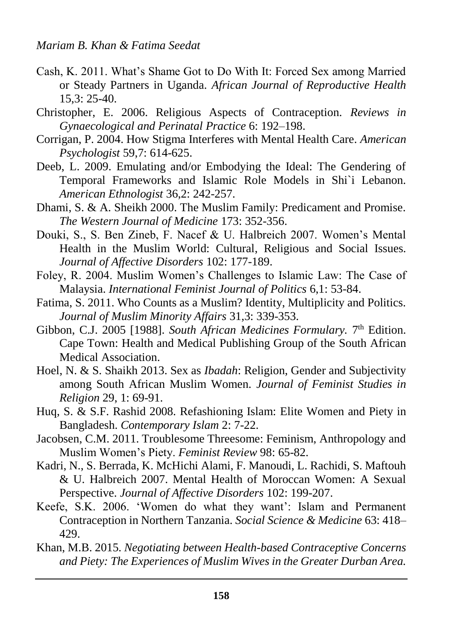- Cash, K. 2011. What's Shame Got to Do With It: Forced Sex among Married or Steady Partners in Uganda. *African Journal of Reproductive Health* 15,3: 25-40.
- Christopher, E. 2006. Religious Aspects of Contraception. *Reviews in Gynaecological and Perinatal Practice* 6: 192–198.
- Corrigan, P. 2004. How Stigma Interferes with Mental Health Care. *American Psychologist* 59,7: 614-625.
- Deeb, L. 2009. Emulating and/or Embodying the Ideal: The Gendering of Temporal Frameworks and Islamic Role Models in Shi`i Lebanon. *American Ethnologist* 36,2: 242-257.
- Dhami, S. & A. Sheikh 2000. The Muslim Family: Predicament and Promise. *The Western Journal of Medicine* 173: 352-356.
- Douki, S., S. Ben Zineb, F. Nacef & U. Halbreich 2007. Women's Mental Health in the Muslim World: Cultural, Religious and Social Issues. *Journal of Affective Disorders* 102: 177-189.
- Foley, R. 2004. Muslim Women's Challenges to Islamic Law: The Case of Malaysia. *International Feminist Journal of Politics* 6,1: 53-84.
- Fatima, S. 2011. Who Counts as a Muslim? Identity, Multiplicity and Politics. *Journal of Muslim Minority Affairs* 31,3: 339-353.
- Gibbon, C.J. 2005 [1988]. *South African Medicines Formulary*. 7<sup>th</sup> Edition. Cape Town: Health and Medical Publishing Group of the South African Medical Association.
- Hoel, N. & S. Shaikh 2013. Sex as *Ibadah*: Religion, Gender and Subjectivity among South African Muslim Women. *Journal of Feminist Studies in Religion* 29, 1: 69-91.
- Huq, S. & S.F. Rashid 2008. Refashioning Islam: Elite Women and Piety in Bangladesh. *Contemporary Islam* 2: 7-22.
- Jacobsen, C.M. 2011. Troublesome Threesome: Feminism, Anthropology and Muslim Women's Piety. *Feminist Review* 98: 65-82.
- Kadri, N., S. Berrada, K. McHichi Alami, F. Manoudi, L. Rachidi, S. Maftouh & U. Halbreich 2007. Mental Health of Moroccan Women: A Sexual Perspective. *Journal of Affective Disorders* 102: 199-207.
- Keefe, S.K. 2006. 'Women do what they want': Islam and Permanent Contraception in Northern Tanzania. *Social Science & Medicine* 63: 418– 429.
- Khan, M.B. 2015. *Negotiating between Health-based Contraceptive Concerns and Piety: The Experiences of Muslim Wives in the Greater Durban Area.*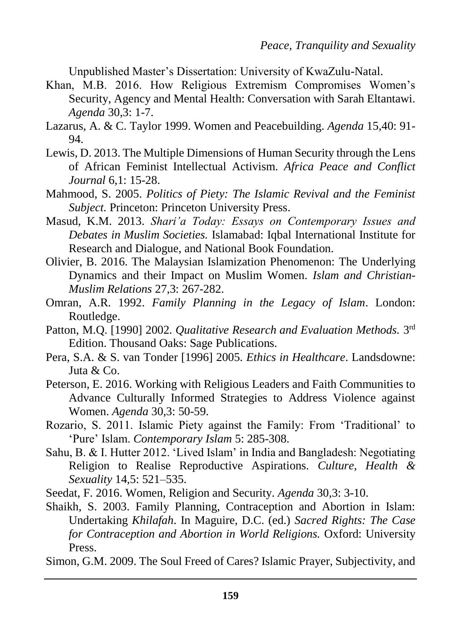Unpublished Master's Dissertation: University of KwaZulu-Natal.

- Khan, M.B. 2016. How Religious Extremism Compromises Women's Security, Agency and Mental Health: Conversation with Sarah Eltantawi. *Agenda* 30,3: 1-7.
- Lazarus, A. & C. Taylor 1999. Women and Peacebuilding. *Agenda* 15,40: 91- 94.
- Lewis, D. 2013. The Multiple Dimensions of Human Security through the Lens of African Feminist Intellectual Activism. *Africa Peace and Conflict Journal* 6,1: 15-28.
- Mahmood, S. 2005. *Politics of Piety: The Islamic Revival and the Feminist Subject.* Princeton: Princeton University Press.
- Masud, K.M. 2013. *Shari'a Today: Essays on Contemporary Issues and Debates in Muslim Societies.* Islamabad: Iqbal International Institute for Research and Dialogue, and National Book Foundation.
- Olivier, B. 2016. The Malaysian Islamization Phenomenon: The Underlying Dynamics and their Impact on Muslim Women. *Islam and Christian-Muslim Relations* 27,3: 267-282.
- Omran, A.R. 1992. *Family Planning in the Legacy of Islam*. London: Routledge.
- Patton, M.Q. [1990] 2002. *Qualitative Research and Evaluation Methods*. 3<sup>rd</sup> Edition. Thousand Oaks: Sage Publications.
- Pera, S.A. & S. van Tonder [1996] 2005. *Ethics in Healthcare*. Landsdowne: Juta & Co.
- Peterson, E. 2016. Working with Religious Leaders and Faith Communities to Advance Culturally Informed Strategies to Address Violence against Women. *Agenda* 30,3: 50-59.
- Rozario, S. 2011. Islamic Piety against the Family: From 'Traditional' to 'Pure' Islam. *Contemporary Islam* 5: 285-308.
- Sahu, B. & I. Hutter 2012. 'Lived Islam' in India and Bangladesh: Negotiating Religion to Realise Reproductive Aspirations. *Culture, Health & Sexuality* 14,5: 521–535.
- Seedat, F. 2016. Women, Religion and Security. *Agenda* 30,3: 3-10.
- Shaikh, S. 2003. Family Planning, Contraception and Abortion in Islam: Undertaking *Khilafah*. In Maguire, D.C. (ed.) *Sacred Rights: The Case for Contraception and Abortion in World Religions.* Oxford: University Press.

Simon, G.M. 2009. The Soul Freed of Cares? Islamic Prayer, Subjectivity, and